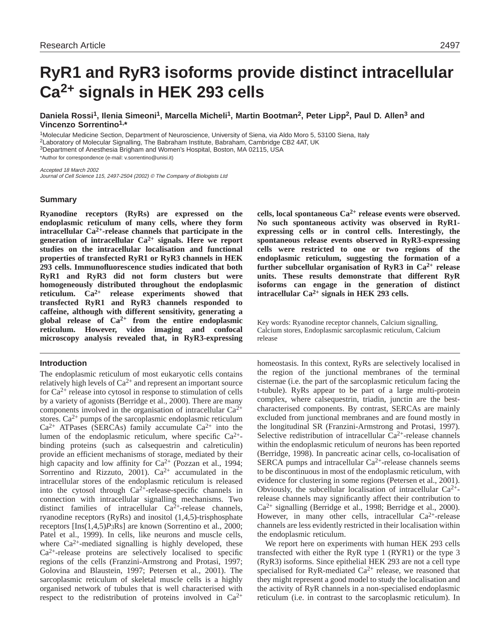# **RyR1 and RyR3 isoforms provide distinct intracellular Ca2+ signals in HEK 293 cells**

**Daniela Rossi1, Ilenia Simeoni1, Marcella Micheli1, Martin Bootman2, Peter Lipp2, Paul D. Allen3 and Vincenzo Sorrentino1,\***

1Molecular Medicine Section, Department of Neuroscience, University of Siena, via Aldo Moro 5, 53100 Siena, Italy 2Laboratory of Molecular Signalling, The Babraham Institute, Babraham, Cambridge CB2 4AT, UK 3Department of Anesthesia Brigham and Women's Hospital, Boston, MA 02115, USA \*Author for correspondence (e-mail: v.sorrentino@unisi.it)

Accepted 18 March 2002 Journal of Cell Science 115, 2497-2504 (2002) © The Company of Biologists Ltd

# **Summary**

**Ryanodine receptors (RyRs) are expressed on the endoplasmic reticulum of many cells, where they form intracellular Ca2+-release channels that participate in the generation of intracellular Ca2+ signals. Here we report studies on the intracellular localisation and functional properties of transfected RyR1 or RyR3 channels in HEK 293 cells. Immunofluorescence studies indicated that both RyR1 and RyR3 did not form clusters but were homogeneously distributed throughout the endoplasmic reticulum. Ca2+ release experiments showed that transfected RyR1 and RyR3 channels responded to caffeine, although with different sensitivity, generating a global release of Ca2+ from the entire endoplasmic reticulum. However, video imaging and confocal microscopy analysis revealed that, in RyR3-expressing**

# **Introduction**

The endoplasmic reticulum of most eukaryotic cells contains relatively high levels of  $Ca^{2+}$  and represent an important source for  $Ca^{2+}$  release into cytosol in response to stimulation of cells by a variety of agonists (Berridge et al., 2000). There are many components involved in the organisation of intracellular  $Ca^{2+}$ stores.  $Ca^{2+}$  pumps of the sarcoplasmic endoplasmic reticulum  $Ca<sup>2+</sup>$  ATPases (SERCAs) family accumulate  $Ca<sup>2+</sup>$  into the lumen of the endoplasmic reticulum, where specific  $Ca^{2+}$ binding proteins (such as calsequestrin and calreticulin) provide an efficient mechanisms of storage, mediated by their high capacity and low affinity for  $Ca^{2+}$  (Pozzan et al., 1994; Sorrentino and Rizzuto, 2001).  $Ca^{2+}$  accumulated in the intracellular stores of the endoplasmic reticulum is released into the cytosol through  $Ca^{2+}$ -release-specific channels in connection with intracellular signalling mechanisms. Two distinct families of intracellular  $Ca^{2+}$ -release channels, ryanodine receptors (RyRs) and inositol (1,4,5)-trisphosphate receptors [Ins(1,4,5)*P*3Rs] are known (Sorrentino et al., 2000; Patel et al., 1999). In cells, like neurons and muscle cells, where  $Ca^{2+}$ -mediated signalling is highly developed, these  $Ca<sup>2+</sup>$ -release proteins are selectively localised to specific regions of the cells (Franzini-Armstrong and Protasi, 1997; Golovina and Blaustein, 1997; Petersen et al., 2001). The sarcoplasmic reticulum of skeletal muscle cells is a highly organised network of tubules that is well characterised with respect to the redistribution of proteins involved in  $Ca^{2+}$ 

**cells, local spontaneous Ca2+ release events were observed. No such spontaneous activity was observed in RyR1 expressing cells or in control cells. Interestingly, the spontaneous release events observed in RyR3-expressing cells were restricted to one or two regions of the endoplasmic reticulum, suggesting the formation of a further subcellular organisation of RyR3 in Ca2+ release units. These results demonstrate that different RyR isoforms can engage in the generation of distinct intracellular Ca2+ signals in HEK 293 cells.**

Key words: Ryanodine receptor channels, Calcium signalling, Calcium stores, Endoplasmic sarcoplasmic reticulum, Calcium release

homeostasis. In this context, RyRs are selectively localised in the region of the junctional membranes of the terminal cisternae (i.e. the part of the sarcoplasmic reticulum facing the t-tubule). RyRs appear to be part of a large multi-protein complex, where calsequestrin, triadin, junctin are the bestcharacterised components. By contrast, SERCAs are mainly excluded from junctional membranes and are found mostly in the longitudinal SR (Franzini-Armstrong and Protasi, 1997). Selective redistribution of intracellular  $Ca^{2+}$ -release channels within the endoplasmic reticulum of neurons has been reported (Berridge, 1998). In pancreatic acinar cells, co-localisation of SERCA pumps and intracellular  $Ca^{2+}$ -release channels seems to be discontinuous in most of the endoplasmic reticulum, with evidence for clustering in some regions (Petersen et al., 2001). Obviously, the subcellular localisation of intracellular  $Ca^{2+}$ release channels may significantly affect their contribution to Ca2+ signalling (Berridge et al., 1998; Berridge et al., 2000). However, in many other cells, intracellular  $Ca^{2+}$ -release channels are less evidently restricted in their localisation within the endoplasmic reticulum.

We report here on experiments with human HEK 293 cells transfected with either the RyR type 1 (RYR1) or the type 3 (RyR3) isoforms. Since epithelial HEK 293 are not a cell type specialised for RyR-mediated  $Ca^{2+}$  release, we reasoned that they might represent a good model to study the localisation and the activity of RyR channels in a non-specialised endoplasmic reticulum (i.e. in contrast to the sarcoplasmic reticulum). In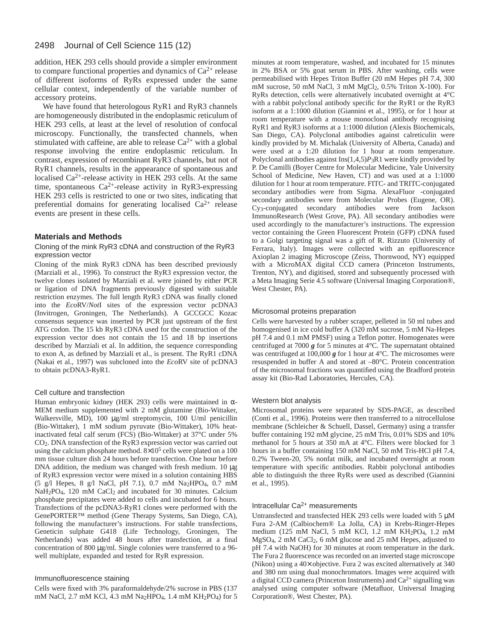#### 2498 Journal of Cell Science 115 (12)

addition, HEK 293 cells should provide a simpler environment to compare functional properties and dynamics of  $Ca^{2+}$  release of different isoforms of RyRs expressed under the same cellular context, independently of the variable number of accessory proteins.

We have found that heterologous RyR1 and RyR3 channels are homogeneously distributed in the endoplasmic reticulum of HEK 293 cells, at least at the level of resolution of confocal microscopy. Functionally, the transfected channels, when stimulated with caffeine, are able to release  $Ca^{2+}$  with a global response involving the entire endoplasmic reticulum. In contrast, expression of recombinant RyR3 channels, but not of RyR1 channels, results in the appearance of spontaneous and localised Ca<sup>2+</sup>-release activity in HEK 293 cells. At the same time, spontaneous  $Ca^{2+}$ -release activity in RyR3-expressing HEK 293 cells is restricted to one or two sites, indicating that preferential domains for generating localised  $Ca^{2+}$  release events are present in these cells.

#### **Materials and Methods**

#### Cloning of the mink RyR3 cDNA and construction of the RyR3 expression vector

Cloning of the mink RyR3 cDNA has been described previously (Marziali et al., 1996). To construct the RyR3 expression vector, the twelve clones isolated by Marziali et al. were joined by either PCR or ligation of DNA fragments previously digested with suitable restriction enzymes. The full length RyR3 cDNA was finally cloned into the *Eco*RV/*Not*I sites of the expression vector pcDNA3 (Invitrogen, Groningen, The Netherlands). A GCCGCC Kozac consensus sequence was inserted by PCR just upstream of the first ATG codon. The 15 kb RyR3 cDNA used for the construction of the expression vector does not contain the 15 and 18 bp insertions described by Marziali et al. In addition, the sequence corresponding to exon A, as defined by Marziali et al., is present. The RyR1 cDNA (Nakai et al., 1997) was subcloned into the *Eco*RV site of pcDNA3 to obtain pcDNA3-RyR1.

#### Cell culture and transfection

Human embryonic kidney (HEK 293) cells were maintained in α-MEM medium supplemented with 2 mM glutamine (Bio-Wittaker, Walkersville, MD), 100 µg/ml streptomycin, 100 U/ml penicillin (Bio-Wittaker), 1 mM sodium pyruvate (Bio-Wittaker), 10% heatinactivated fetal calf serum (FCS) (Bio-Wittaker) at 37°C under 5% CO2. DNA transfection of the RyR3 expression vector was carried out using the calcium phosphate method.  $8\times10^5$  cells were plated on a 100 mm tissue culture dish 24 hours before transfection. One hour before DNA addition, the medium was changed with fresh medium.  $10 \mu$ g of RyR3 expression vector were mixed in a solution containing HBS (5 g/l Hepes, 8 g/l NaCl, pH 7.1), 0.7 mM Na2HPO4, 0.7 mM NaH<sub>2</sub>PO<sub>4</sub>, 120 mM CaCl<sub>2</sub> and incubated for 30 minutes. Calcium phosphate precipitates were added to cells and incubated for 6 hours. Transfections of the pcDNA3-RyR1 clones were performed with the GenePORTER™ method (Gene Therapy Systems, San Diego, CA), following the manufacturer's instructions. For stable transfections, Geneticin sulphate G418 (Life Technology, Groningen, The Netherlands) was added 48 hours after transfection, at a final concentration of 800 µg/ml. Single colonies were transferred to a 96well multiplate, expanded and tested for RyR expression.

#### Immunofluorescence staining

Cells were fixed with 3% paraformaldehyde/2% sucrose in PBS (137 mM NaCl, 2.7 mM KCl, 4.3 mM Na2HPO<sub>4</sub>, 1.4 mM KH<sub>2</sub>PO<sub>4</sub>) for 5

minutes at room temperature, washed, and incubated for 15 minutes in 2% BSA or 5% goat serum in PBS. After washing, cells were permeabilised with Hepes Triton Buffer (20 mM Hepes pH 7.4, 300 mM sucrose, 50 mM NaCl, 3 mM MgCl<sub>2</sub>, 0.5% Triton X-100). For RyRs detection, cells were alternatively incubated overnight at 4°C with a rabbit polyclonal antibody specific for the RyR1 or the RyR3 isoform at a 1:1000 dilution (Giannini et al., 1995), or for 1 hour at room temperature with a mouse monoclonal antibody recognising RyR1 and RyR3 isoforms at a 1:1000 dilution (Alexis Biochemicals, San Diego, CA). Polyclonal antibodies against calreticulin were kindly provided by M. Michalak (University of Alberta, Canada) and were used at a 1:20 dilution for 1 hour at room temperature. Polyclonal antibodies against Ins(1,4,5)*P*3R1 were kindly provided by P. De Camilli (Boyer Centre for Molecular Medicine, Yale University School of Medicine, New Haven, CT) and was used at a 1:1000 dilution for 1 hour at room temperature. FITC- and TRITC-conjugated secondary antibodies were from Sigma. AlexaFluor®-conjugated secondary antibodies were from Molecular Probes (Eugene, OR). Cy3-conjugated secondary antibodies were from Jackson ImmunoResearch (West Grove, PA). All secondary antibodies were used accordingly to the manufacturer's instructions. The expression vector containing the Green Fluorescent Protein (GFP) cDNA fused to a Golgi targeting signal was a gift of R. Rizzuto (University of Ferrara, Italy). Images were collected with an epifluorescence Axioplan 2 imaging Microscope (Zeiss, Thornwood, NY) equipped with a MicroMAX digital CCD camera (Princeton Instruments, Trenton, NY), and digitised, stored and subsequently processed with a Meta Imaging Serie 4.5 software (Universal Imaging Corporation®, West Chester, PA).

#### Microsomal proteins preparation

Cells were harvested by a rubber scraper, pelleted in 50 ml tubes and homogenised in ice cold buffer A (320 mM sucrose, 5 mM Na-Hepes pH 7.4 and 0.1 mM PMSF) using a Teflon potter. Homogenates were centrifuged at 7000 *g* for 5 minutes at 4°C. The supernatant obtained was centrifuged at 100,000 **g** for 1 hour at 4<sup>o</sup>C. The microsomes were resuspended in buffer A and stored at –80°C. Protein concentration of the microsomal fractions was quantified using the Bradford protein assay kit (Bio-Rad Laboratories, Hercules, CA).

#### Western blot analysis

Microsomal proteins were separated by SDS-PAGE, as described (Conti et al., 1996). Proteins were then transferred to a nitrocellulose membrane (Schleicher & Schuell, Dassel, Germany) using a transfer buffer containing 192 mM glycine, 25 mM Tris, 0.01% SDS and 10% methanol for 5 hours at 350 mA at 4°C. Filters were blocked for 3 hours in a buffer containing 150 mM NaCl, 50 mM Tris-HCl pH 7.4, 0.2% Tween-20, 5% nonfat milk, and incubated overnight at room temperature with specific antibodies. Rabbit polyclonal antibodies able to distinguish the three RyRs were used as described (Giannini et al., 1995).

#### Intracellular  $Ca<sup>2+</sup>$  measurements

Untransfected and transfected HEK 293 cells were loaded with 5 µM Fura 2-AM (Calbiochem® La Jolla, CA) in Krebs-Ringer-Hepes medium (125 mM NaCl, 5 mM KCl, 1.2 mM KH2PO4, 1.2 mM MgSO4, 2 mM CaCl2, 6 mM glucose and 25 mM Hepes, adjusted to pH 7.4 with NaOH) for 30 minutes at room temperature in the dark. The Fura 2 fluorescence was recorded on an inverted stage microscope (Nikon) using a 40× objective. Fura 2 was excited alternatively at 340 and 380 nm using dual monochromators. Images were acquired with a digital CCD camera (Princeton Instruments) and Ca2+ signalling was analysed using computer software (Metafluor, Universal Imaging Corporation®, West Chester, PA).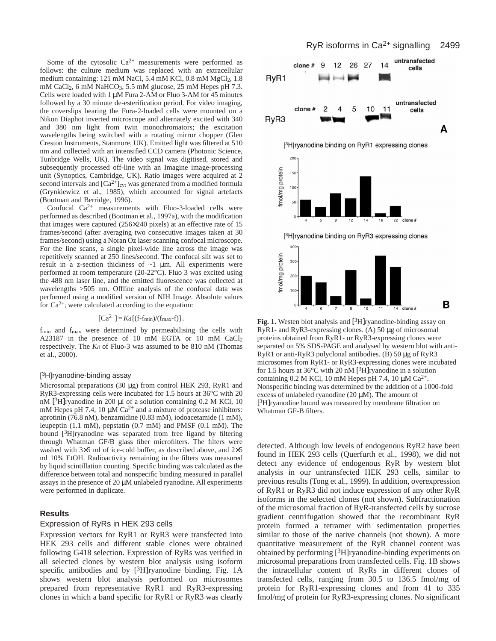Some of the cytosolic  $Ca^{2+}$  measurements were performed as follows: the culture medium was replaced with an extracellular medium containing: 121 mM NaCl, 5.4 mM KCl, 0.8 mM MgCl<sub>2</sub>, 1.8 mM CaCl<sub>2</sub>, 6 mM NaHCO<sub>3</sub>, 5.5 mM glucose, 25 mM Hepes pH 7.3. Cells were loaded with 1 µM Fura 2-AM or Fluo 3-AM for 45 minutes followed by a 30 minute de-esterification period. For video imaging, the coverslips bearing the Fura-2-loaded cells were mounted on a Nikon Diaphot inverted microscope and alternately excited with 340 and 380 nm light from twin monochromators; the excitation wavelengths being switched with a rotating mirror chopper (Glen Creston Instruments, Stanmore, UK). Emitted light was filtered at 510 nm and collected with an intensified CCD camera (Photonic Science, Tunbridge Wells, UK). The video signal was digitised, stored and subsequently processed off-line with an Imagine image-processing unit (Synoptics, Cambridge, UK). Ratio images were acquired at 2 second intervals and  $[Ca^{2+}]<sub>cyt</sub>$  was generated from a modified formula (Grynkiewicz et al., 1985), which accounted for signal artefacts (Bootman and Berridge, 1996).

Confocal  $Ca^{2+}$  measurements with Fluo-3-loaded cells were performed as described (Bootman et al., 1997a), with the modification that images were captured (256×240 pixels) at an effective rate of 15 frames/second (after averaging two consecutive images taken at 30 frames/second) using a Noran Oz laser scanning confocal microscope. For the line scans, a single pixel-wide line across the image was repetitively scanned at 250 lines/second. The confocal slit was set to result in a z-section thickness of  $\sim$ 1  $\mu$ m. All experiments were performed at room temperature (20-22°C). Fluo 3 was excited using the 488 nm laser line, and the emitted fluorescence was collected at wavelengths >505 nm. Offline analysis of the confocal data was performed using a modified version of NIH Image. Absolute values for  $Ca^{2+}$ <sub>i</sub> were calculated according to the equation:

$$
[Ca^{2+}] = K_d [(f-f_{min})/(f_{max}-f)].
$$

f<sub>min</sub> and f<sub>max</sub> were determined by permeabilising the cells with A23187 in the presence of 10 mM EGTA or 10 mM CaCl2 respectively. The  $K_d$  of Fluo-3 was assumed to be 810 nM (Thomas et al., 2000).

#### [ 3H]ryanodine-binding assay

Microsomal preparations (30 µg) from control HEK 293, RyR1 and RyR3-expressing cells were incubated for 1.5 hours at 36°C with 20 nM  $[3H]$ ryanodine in 200 µl of a solution containing 0.2 M KCl, 10 mM Hepes pH 7.4, 10  $\mu$ M Ca<sup>2+</sup> and a mixture of protease inhibitors: aprotinin (76.8 nM), benzamidine (0.83 mM), iodoacetamide (1 mM), leupeptin (1.1 mM), pepstatin (0.7 mM) and PMSF (0.1 mM). The bound [<sup>3</sup>H]ryanodine was separated from free ligand by filtering through Whatman GF/B glass fiber microfilters. The filters were washed with 3×5 ml of ice-cold buffer, as described above, and 2×5 ml 10% EtOH. Radioactivity remaining in the filters was measured by liquid scintillation counting. Specific binding was calculated as the difference between total and nonspecific binding measured in parallel assays in the presence of 20 µM unlabeled ryanodine. All experiments were performed in duplicate.

#### **Results**

### Expression of RyRs in HEK 293 cells

Expression vectors for RyR1 or RyR3 were transfected into HEK 293 cells and different stable clones were obtained following G418 selection. Expression of RyRs was verified in all selected clones by western blot analysis using isoform specific antibodies and by  $[3H]$ ryanodine binding. Fig. 1A shows western blot analysis performed on microsomes prepared from representative RyR1 and RyR3-expressing clones in which a band specific for RyR1 or RyR3 was clearly



**Fig. 1.** Westen blot analysis and <sup>3</sup>H ryanodine-binding assay on RyR1- and RyR3-expressing clones. (A)  $50 \mu$ g of microsomal proteins obtained from RyR1- or RyR3-expressing clones were separated on 5% SDS-PAGE and analysed by western blot with anti-RyR1 or anti-RyR3 polyclonal antibodies. (B) 50 µg of RyR3 microsomes from RyR1- or RyR3-expressing clones were incubated for 1.5 hours at  $36^{\circ}$ C with 20 nM [<sup>3</sup>H]ryanodine in a solution containing 0.2 M KCl, 10 mM Hepes pH 7.4, 10  $\mu$ M Ca<sup>2+</sup>. Nonspecific binding was determined by the addition of a 1000-fold excess of unlabeled ryanodine  $(20 \mu M)$ . The amount of [3H]ryanodine bound was measured by membrane filtration on Whatman GF-B filters.

detected. Although low levels of endogenous RyR2 have been found in HEK 293 cells (Querfurth et al., 1998), we did not detect any evidence of endogenous RyR by western blot analysis in our untransfected HEK 293 cells, similar to previous results (Tong et al., 1999). In addition, overexpression of RyR1 or RyR3 did not induce expression of any other RyR isoforms in the selected clones (not shown). Subfractionation of the microsomal fraction of RyR-transfected cells by sucrose gradient centrifugation showed that the recombinant RyR protein formed a tetramer with sedimentation properties similar to those of the native channels (not shown). A more quantitative measurement of the RyR channel content was obtained by performing [3H]ryanodine-binding experiments on microsomal preparations from transfected cells. Fig. 1B shows the intracellular content of RyRs in different clones of transfected cells, ranging from 30.5 to 136.5 fmol/mg of protein for RyR1-expressing clones and from 41 to 335 fmol/mg of protein for RyR3-expressing clones. No significant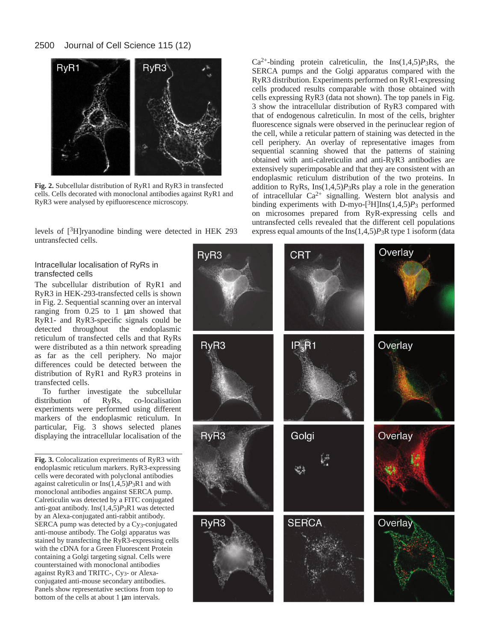

**Fig. 2.** Subcellular distribution of RyR1 and RyR3 in transfected cells. Cells decorated with monoclonal antibodies against RyR1 and RyR3 were analysed by epifluorescence microscopy.

levels of [3H]ryanodine binding were detected in HEK 293 untransfected cells.

# Intracellular localisation of RyRs in transfected cells

The subcellular distribution of RyR1 and RyR3 in HEK-293-transfected cells is shown in Fig. 2. Sequential scanning over an interval ranging from 0.25 to 1 µm showed that RyR1- and RyR3-specific signals could be detected throughout the endoplasmic reticulum of transfected cells and that RyRs were distributed as a thin network spreading as far as the cell periphery. No major differences could be detected between the distribution of RyR1 and RyR3 proteins in transfected cells.

To further investigate the subcellular<br>tribution of RyRs, co-localisation distribution of RyRs, experiments were performed using different markers of the endoplasmic reticulum. In particular, Fig. 3 shows selected planes displaying the intracellular localisation of the

**Fig. 3.** Colocalization expreriments of RyR3 with endoplasmic reticulum markers. RyR3-expressing cells were decorated with polyclonal antibodies against calreticulin or  $\text{Ins}(1,4,5)P_3R1$  and with monoclonal antibodies angainst SERCA pump. Calreticulin was detected by a FITC conjugated anti-goat antibody. Ins(1,4,5)*P*3R1 was detected by an Alexa-conjugated anti-rabbit antibody. SERCA pump was detected by a Cy3-conjugated anti-mouse antibody. The Golgi apparatus was stained by transfecting the RyR3-expressing cells with the cDNA for a Green Fluorescent Protein containing a Golgi targeting signal. Cells were counterstained with monoclonal antibodies against RyR3 and TRITC-, Cy3- or Alexaconjugated anti-mouse secondary antibodies. Panels show representative sections from top to bottom of the cells at about 1 µm intervals.

 $Ca^{2+}$ -binding protein calreticulin, the Ins $(1,4,5)P_3Rs$ , the SERCA pumps and the Golgi apparatus compared with the RyR3 distribution. Experiments performed on RyR1-expressing cells produced results comparable with those obtained with cells expressing RyR3 (data not shown). The top panels in Fig. 3 show the intracellular distribution of RyR3 compared with that of endogenous calreticulin. In most of the cells, brighter fluorescence signals were observed in the perinuclear region of the cell, while a reticular pattern of staining was detected in the cell periphery. An overlay of representative images from sequential scanning showed that the patterns of staining obtained with anti-calreticulin and anti-RyR3 antibodies are extensively superimposable and that they are consistent with an endoplasmic reticulum distribution of the two proteins. In addition to RyRs, Ins(1,4,5)*P*3Rs play a role in the generation of intracellular Ca2+ signalling. Western blot analysis and binding experiments with D-myo-[3H]Ins(1,4,5)*P*<sup>3</sup> performed on microsomes prepared from RyR-expressing cells and untransfected cells revealed that the different cell populations express equal amounts of the Ins(1,4,5)*P*3R type 1 isoform (data

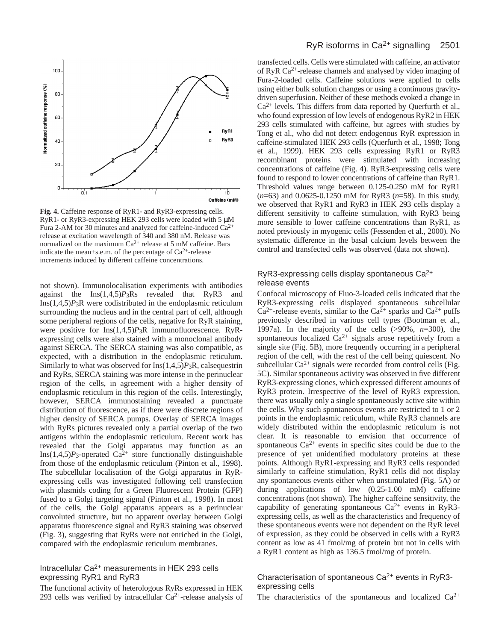

**Fig. 4.** Caffeine response of RyR1- and RyR3-expressing cells. RyR1- or RyR3-expressing HEK 293 cells were loaded with 5 µM Fura 2-AM for 30 minutes and analyzed for caffeine-induced  $Ca^{2+}$ release at excitation wavelength of 340 and 380 nM. Release was normalized on the maximum  $Ca^{2+}$  release at 5 mM caffeine. Bars indicate the mean $\pm$ s.e.m. of the percentage of Ca<sup>2+</sup>-release increments induced by different caffeine concentrations.

not shown). Immunolocalisation experiments with antibodies against the Ins(1,4,5)*P*3Rs revealed that RyR3 and  $Ins(1,4,5)P_3R$  were codistributed in the endoplasmic reticulum surrounding the nucleus and in the central part of cell, although some peripheral regions of the cells, negative for RyR staining, were positive for Ins(1,4,5)*P*3R immunofluorescence. RyRexpressing cells were also stained with a monoclonal antibody against SERCA. The SERCA staining was also compatible, as expected, with a distribution in the endoplasmic reticulum. Similarly to what was observed for Ins(1,4,5)*P*3R, calsequestrin and RyRs, SERCA staining was more intense in the perinuclear region of the cells, in agreement with a higher density of endoplasmic reticulum in this region of the cells. Interestingly, however, SERCA immunostaining revealed a punctuate distribution of fluorescence, as if there were discrete regions of higher density of SERCA pumps. Overlay of SERCA images with RyRs pictures revealed only a partial overlap of the two antigens within the endoplasmic reticulum. Recent work has revealed that the Golgi apparatus may function as an Ins $(1,4,5)P_3$ -operated Ca<sup>2+</sup> store functionally distinguishable from those of the endoplasmic reticulum (Pinton et al., 1998). The subcellular localisation of the Golgi apparatus in RyRexpressing cells was investigated following cell transfection with plasmids coding for a Green Fluorescent Protein (GFP) fused to a Golgi targeting signal (Pinton et al., 1998). In most of the cells, the Golgi apparatus appears as a perinuclear convoluted structure, but no apparent overlay between Golgi apparatus fluorescence signal and RyR3 staining was observed (Fig. 3), suggesting that RyRs were not enriched in the Golgi, compared with the endoplasmic reticulum membranes.

# Intracellular Ca2+ measurements in HEK 293 cells expressing RyR1 and RyR3

The functional activity of heterologous RyRs expressed in HEK 293 cells was verified by intracellular  $Ca^{2+}$ -release analysis of

transfected cells. Cells were stimulated with caffeine, an activator of RyR  $Ca^{2+}$ -release channels and analysed by video imaging of Fura-2-loaded cells. Caffeine solutions were applied to cells using either bulk solution changes or using a continuous gravitydriven superfusion. Neither of these methods evoked a change in  $Ca<sup>2+</sup>$  levels. This differs from data reported by Querfurth et al., who found expression of low levels of endogenous RyR2 in HEK 293 cells stimulated with caffeine, but agrees with studies by Tong et al., who did not detect endogenous RyR expression in caffeine-stimulated HEK 293 cells (Querfurth et al., 1998; Tong et al., 1999). HEK 293 cells expressing RyR1 or RyR3 recombinant proteins were stimulated with increasing concentrations of caffeine (Fig. 4). RyR3-expressing cells were found to respond to lower concentrations of caffeine than RyR1. Threshold values range between 0.125-0.250 mM for RyR1 (*n*=63) and 0.0625-0.1250 mM for RyR3 (*n*=58). In this study, we observed that RyR1 and RyR3 in HEK 293 cells display a different sensitivity to caffeine stimulation, with RyR3 being more sensible to lower caffeine concentrations than RyR1, as noted previously in myogenic cells (Fessenden et al., 2000). No systematic difference in the basal calcium levels between the control and transfected cells was observed (data not shown).

# RyR3-expressing cells display spontaneous Ca2+ release events

Confocal microscopy of Fluo-3-loaded cells indicated that the RyR3-expressing cells displayed spontaneous subcellular  $Ca^{2+}$ -release events, similar to the  $Ca^{2+}$  sparks and  $Ca^{2+}$  puffs previously described in various cell types (Bootman et al., 1997a). In the majority of the cells (>90%, *n*=300), the spontaneous localized  $Ca^{2+}$  signals arose repetitively from a single site (Fig. 5B), more frequently occurring in a peripheral region of the cell, with the rest of the cell being quiescent. No subcellular  $Ca^{2+}$  signals were recorded from control cells (Fig. 5C). Similar spontaneous activity was observed in five different RyR3-expressing clones, which expressed different amounts of RyR3 protein. Irrespective of the level of RyR3 expression, there was usually only a single spontaneously active site within the cells. Why such spontaneous events are restricted to 1 or 2 points in the endoplasmic reticulum, while RyR3 channels are widely distributed within the endoplasmic reticulum is not clear. It is reasonable to envision that occurrence of spontaneous  $Ca^{2+}$  events in specific sites could be due to the presence of yet unidentified modulatory proteins at these points. Although RyR1-expressing and RyR3 cells responded similarly to caffeine stimulation, RyR1 cells did not display any spontaneous events either when unstimulated (Fig. 5A) or during applications of low (0.25-1.00 mM) caffeine concentrations (not shown). The higher caffeine sensitivity, the capability of generating spontaneous  $Ca^{2+}$  events in RyR3expressing cells, as well as the characteristics and frequency of these spontaneous events were not dependent on the RyR level of expression, as they could be observed in cells with a RyR3 content as low as 41 fmol/mg of protein but not in cells with a RyR1 content as high as 136.5 fmol/mg of protein.

# Characterisation of spontaneous Ca2+ events in RyR3 expressing cells

The characteristics of the spontaneous and localized  $Ca^{2+}$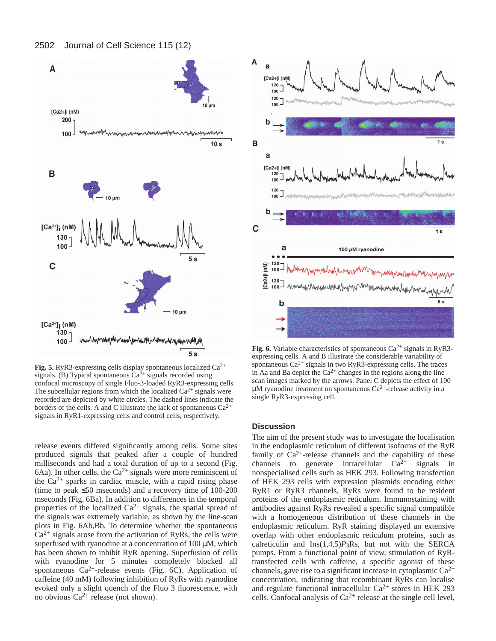



**Fig. 5.** RyR3-expressing cells display spontaneous localized Ca2+ signals. (B) Typical spontaneous  $Ca^{2+}$  signals recorded using confocal microscopy of single Fluo-3-loaded RyR3-expressing cells. The subcellular regions from which the localized  $Ca^{2+}$  signals were recorded are depicted by white circles. The dashed lines indicate the borders of the cells. A and C illustrate the lack of spontaneous  $Ca^{2+}$ signals in RyR1-expressing cells and control cells, respectively.

release events differed significantly among cells. Some sites produced signals that peaked after a couple of hundred milliseconds and had a total duration of up to a second (Fig. 6Aa). In other cells, the  $Ca^{2+}$  signals were more reminiscent of the  $Ca^{2+}$  sparks in cardiac muscle, with a rapid rising phase (time to peak ≤50 mseconds) and a recovery time of 100-200 mseconds (Fig. 6Ba). In addition to differences in the temporal properties of the localized  $Ca^{2+}$  signals, the spatial spread of the signals was extremely variable, as shown by the line-scan plots in Fig. 6Ab,Bb. To determine whether the spontaneous  $Ca<sup>2+</sup>$  signals arose from the activation of RyRs, the cells were superfused with ryanodine at a concentration of  $100 \mu$ M, which has been shown to inhibit RyR opening. Superfusion of cells with ryanodine for 5 minutes completely blocked all spontaneous  $Ca^{2+}$ -release events (Fig. 6C). Application of caffeine (40 mM) following inhibition of RyRs with ryanodine evoked only a slight quench of the Fluo 3 fluorescence, with no obvious  $Ca^{2+}$  release (not shown).



**Fig. 6.** Variable characteristics of spontaneous  $Ca^{2+}$  signals in RyR3expressing cells. A and B illustrate the considerable variability of spontaneous  $Ca^{2+}$  signals in two RyR3-expressing cells. The traces in Aa and Ba depict the  $Ca^{2+}$  changes in the regions along the line scan images marked by the arrows. Panel C depicts the effect of 100  $\mu$ M ryanodine treatment on spontaneous Ca<sup>2+</sup>-release activity in a single RyR3-expressing cell.

# **Discussion**

The aim of the present study was to investigate the localisation in the endoplasmic reticulum of different isoforms of the RyR family of  $Ca^{2+}$ -release channels and the capability of these channels to generate intracellular  $Ca^{2+}$  signals in nonspecialised cells such as HEK 293. Following transfection of HEK 293 cells with expression plasmids encoding either RyR1 or RyR3 channels, RyRs were found to be resident proteins of the endoplasmic reticulum. Immunostaining with antibodies against RyRs revealed a specific signal compatible with a homogeneous distribution of these channels in the endoplasmic reticulum. RyR staining displayed an extensive overlap with other endoplasmic reticulum proteins, such as calreticulin and  $Ins(1,4,5)P_3Rs$ , but not with the SERCA pumps. From a functional point of view, stimulation of RyRtransfected cells with caffeine, a specific agonist of these channels, gave rise to a significant increase in cytoplasmic Ca2+ concentration, indicating that recombinant RyRs can localise and regulate functional intracellular  $Ca^{2+}$  stores in HEK 293 cells. Confocal analysis of  $Ca^{2+}$  release at the single cell level,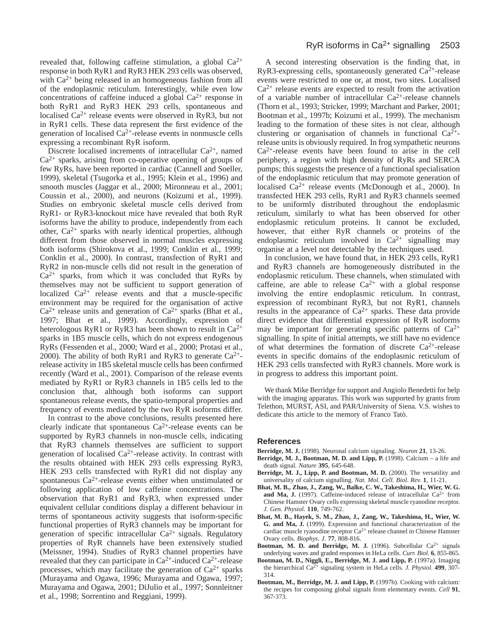revealed that, following caffeine stimulation, a global  $Ca^{2+}$ response in both RyR1 and RyR3 HEK 293 cells was observed, with Ca<sup>2+</sup> being released in an homogeneous fashion from all of the endoplasmic reticulum. Interestingly, while even low concentrations of caffeine induced a global  $Ca^{2+}$  response in both RyR1 and RyR3 HEK 293 cells, spontaneous and localised  $Ca^{2+}$  release events were observed in RyR3, but not in RyR1 cells. These data represent the first evidence of the generation of localised  $Ca^{2+}$ -release events in nonmuscle cells expressing a recombinant RyR isoform.

Discrete localised increments of intracellular Ca2+, named  $Ca<sup>2+</sup>$  sparks, arising from co-operative opening of groups of few RyRs, have been reported in cardiac (Cannell and Soeller, 1999), skeletal (Tsugorka et al., 1995; Klein et al., 1996) and smooth muscles (Jaggar et al., 2000; Mironneau et al., 2001; Coussin et al., 2000), and neurons (Koizumi et al., 1999). Studies on embryonic skeletal muscle cells derived from RyR1- or RyR3-knockout mice have revealed that both RyR isoforms have the ability to produce, independently from each other,  $Ca^{2+}$  sparks with nearly identical properties, although different from those observed in normal muscles expressing both isoforms (Shirokova et al., 1999; Conklin et al., 1999; Conklin et al., 2000). In contrast, transfection of RyR1 and RyR2 in non-muscle cells did not result in the generation of  $Ca<sup>2+</sup>$  sparks, from which it was concluded that RyRs by themselves may not be sufficient to support generation of localized  $Ca^{2+}$  release events and that a muscle-specific environment may be required for the organisation of active  $Ca^{2+}$  release units and generation of  $Ca^{2+}$  sparks (Bhat et al., 1997; Bhat et al., 1999). Accordingly, expression of heterologous RyR1 or RyR3 has been shown to result in  $Ca^{2+}$ sparks in 1B5 muscle cells, which do not express endogenous RyRs (Fessenden et al., 2000; Ward et al., 2000; Protasi et al., 2000). The ability of both RyR1 and RyR3 to generate  $Ca^{2+}$ release activity in 1B5 skeletal muscle cells has been confirmed recently (Ward et al., 2001). Comparison of the release events mediated by RyR1 or RyR3 channels in 1B5 cells led to the conclusion that, although both isoforms can support spontaneous release events, the spatio-temporal properties and frequency of events mediated by the two RyR isoforms differ.

In contrast to the above conclusions, results presented here clearly indicate that spontaneous  $Ca^{2+}$ -release events can be supported by RyR3 channels in non-muscle cells, indicating that RyR3 channels themselves are sufficient to support generation of localised  $Ca^{2+}$ -release activity. In contrast with the results obtained with HEK 293 cells expressing RyR3, HEK 293 cells transfected with RyR1 did not display any spontaneous  $Ca^{2+}$ -release events either when unstimulated or following application of low caffeine concentrations. The observation that RyR1 and RyR3, when expressed under equivalent cellular conditions display a different behaviour in terms of spontaneous activity suggests that isoform-specific functional properties of RyR3 channels may be important for generation of specific intracellular  $Ca^{2+}$  signals. Regulatory properties of RyR channels have been extensively studied (Meissner, 1994). Studies of RyR3 channel properties have revealed that they can participate in  $Ca^{2+}$ -induced  $Ca^{2+}$ -release processes, which may facilitate the generation of  $Ca^{2+}$  sparks (Murayama and Ogawa, 1996; Murayama and Ogawa, 1997; Murayama and Ogawa, 2001; DiJulio et al., 1997; Sonnleitner et al., 1998; Sorrentino and Reggiani, 1999).

A second interesting observation is the finding that, in RyR3-expressing cells, spontaneously generated  $Ca<sup>2+</sup>$ -release events were restricted to one or, at most, two sites. Localised  $Ca<sup>2+</sup>$  release events are expected to result from the activation of a variable number of intracellular Ca2+-release channels (Thorn et al., 1993; Stricker, 1999; Marchant and Parker, 2001; Bootman et al., 1997b; Koizumi et al., 1999). The mechanism leading to the formation of these sites is not clear, although clustering or organisation of channels in functional  $Ca^{2+}$ release units is obviously required. In frog sympathetic neurons  $Ca<sup>2+</sup>$ -release events have been found to arise in the cell periphery, a region with high density of RyRs and SERCA pumps; this suggests the presence of a functional specialisation of the endoplasmic reticulum that may promote generation of localised  $Ca^{2+}$  release events (McDonough et al., 2000). In transfected HEK 293 cells, RyR1 and RyR3 channels seemed to be uniformly distributed throughout the endoplasmic reticulum, similarly to what has been observed for other endoplasmic reticulum proteins. It cannot be excluded, however, that either RyR channels or proteins of the endoplasmic reticulum involved in  $Ca^{2+}$  signalling may organise at a level not detectable by the techniques used.

In conclusion, we have found that, in HEK 293 cells, RyR1 and RyR3 channels are homogeneously distributed in the endoplasmic reticulum. These channels, when stimulated with caffeine, are able to release  $Ca^{2+}$  with a global response involving the entire endoplasmic reticulum. In contrast, expression of recombinant RyR3, but not RyR1, channels results in the appearance of  $Ca^{2+}$  sparks. These data provide direct evidence that differential expression of RyR isoforms may be important for generating specific patterns of  $Ca^{2+}$ signalling. In spite of initial attempts, we still have no evidence of what determines the formation of discrete Ca2+-release events in specific domains of the endoplasmic reticulum of HEK 293 cells transfected with RyR3 channels. More work is in progress to address this important point.

We thank Mike Berridge for support and Angiolo Benedetti for help with the imaging apparatus. This work was supported by grants from Telethon, MURST, ASI, and PAR/University of Siena. V.S. wishes to dedicate this article to the memory of Franco Tatò.

#### **References**

- **Berridge, M. J.** (1998). Neuronal calcium signaling. *Neuron* **21**, 13-26.
- **Berridge, M. J., Bootman, M. D. and Lipp, P.** (1998). Calcium a life and death signal. *Nature* **395**, 645-648.
- Berridge, M. J., Lipp, P. and Bootman, M. D. (2000). The versatility and universality of calcium signalling. *Nat. Mol. Cell. Biol*. *Rev.* **1**, 11-21.
- **Bhat, M. B., Zhao, J., Zang, W., Balke, C. W., Takeshima, H., Wier, W. G. and Ma, J.** (1997). Caffeine-induced release of intracellular  $Ca^{2+}$  from Chinese Hamster Ovary cells expressing skeletal muscle ryanodine receptor. *J. Gen. Physiol.* **110**, 749-762.
- **Bhat, M. B., Hayek, S. M., Zhao, J., Zang, W., Takeshima, H., Wier, W. G. and Ma, J.** (1999). Expression and functional characterization of the cardiac muscle ryanodine receptor  $Ca^{2+}$  release channel in Chinese Hamster Ovary cells. *Biophys. J*. **77**, 808-816.
- Bootman, M. D. and Berridge, M. J. (1996). Subcellular Ca<sup>2+</sup> signals underlying waves and graded responses in HeLa cells. *Curr. Biol*. **6**, 855-865.
- **Bootman, M. D., Niggli, E., Berridge, M. J. and Lipp, P.** (1997a). Imaging the hierarchical Ca2+ signaling system in HeLa cells. *J. Physiol*. **499**, 307- 314.
- **Bootman, M., Berridge, M. J. and Lipp, P.** (1997b). Cooking with calcium: the recipes for composing global signals from elementary events. *Cell* **91**, 367-373.